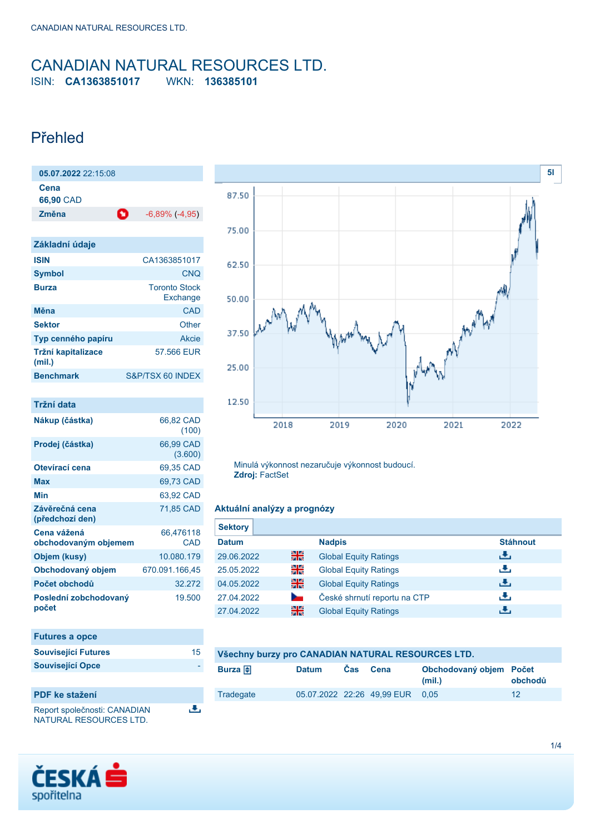### <span id="page-0-0"></span>CANADIAN NATURAL RESOURCES LTD. ISIN: **CA1363851017** WKN: **136385101**

### Přehled

| 05.07.2022 22:15:08          |                                  |
|------------------------------|----------------------------------|
| Cena<br>66,90 CAD            |                                  |
| Ø<br>Změna                   | $-6,89\%$ ( $-4,95$ )            |
|                              |                                  |
| Základní údaje               |                                  |
| <b>ISIN</b>                  | CA1363851017                     |
| Symbol                       | <b>CNO</b>                       |
| <b>Burza</b>                 | <b>Toronto Stock</b><br>Exchange |
| Měna                         | CAD                              |
| <b>Sektor</b>                | Other                            |
| Typ cenného papíru           | Akcie                            |
| Tržní kapitalizace<br>(mil.) | 57.566 EUR                       |

**Benchmark** S&P/TSX 60 INDEX

| Tržní data                          |                      |
|-------------------------------------|----------------------|
| Nákup (částka)                      | 66,82 CAD<br>(100)   |
| Prodej (částka)                     | 66,99 CAD<br>(3.600) |
| Otevírací cena                      | 69,35 CAD            |
| Max                                 | 69,73 CAD            |
| Min                                 | 63,92 CAD            |
| Závěrečná cena<br>(předchozí den)   | 71,85 CAD            |
| Cena vážená<br>obchodovaným objemem | 66,476118<br>CAD     |
| Objem (kusy)                        | 10.080.179           |
| Obchodovaný objem                   | 670.091.166,45       |
| Počet obchodů                       | 32 272               |
| Poslední zobchodovaný<br>počet      | 19.500               |

| <b>Futures a opce</b>      |    |
|----------------------------|----|
| <b>Související Futures</b> | 15 |
| <b>Související Opce</b>    |    |
|                            |    |

رائي



Report společnosti: CANADIAN NATURAL RESOURCES LTD.



Minulá výkonnost nezaručuje výkonnost budoucí. **Zdroj:** FactSet

### **Aktuální analýzy a prognózy**

| <b>Sektory</b> |    |                              |                 |
|----------------|----|------------------------------|-----------------|
| <b>Datum</b>   |    | <b>Nadpis</b>                | <b>Stáhnout</b> |
| 29.06.2022     | 을중 | <b>Global Equity Ratings</b> | ريان            |
| 25.05.2022     | 읡  | <b>Global Equity Ratings</b> | رالى            |
| 04.05.2022     | 을중 | <b>Global Equity Ratings</b> | رالى            |
| 27.04.2022     |    | České shrnutí reportu na CTP | æ,              |
| 27.04.2022     | 을중 | <b>Global Equity Ratings</b> | υЧ,             |

| Všechny burzy pro CANADIAN NATURAL RESOURCES LTD. |              |      |                                 |                                   |         |
|---------------------------------------------------|--------------|------|---------------------------------|-----------------------------------|---------|
| Burza $\bigoplus$                                 | <b>Datum</b> | Cas. | Cena                            | Obchodovaný objem Počet<br>(mil.) | obchodů |
| Tradegate                                         |              |      | 05.07.2022 22:26 49.99 EUR 0.05 |                                   | 12      |

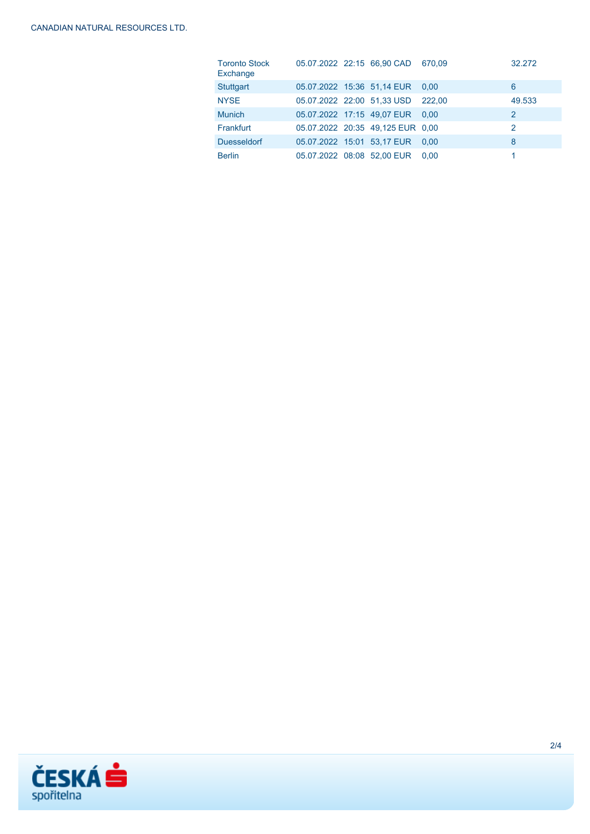| <b>Toronto Stock</b><br>Exchange |  | 05.07.2022 22:15 66,90 CAD       | 670.09 | 32.272         |
|----------------------------------|--|----------------------------------|--------|----------------|
| <b>Stuttgart</b>                 |  | 05.07.2022 15:36 51,14 EUR       | 0.00   | 6              |
| <b>NYSE</b>                      |  | 05.07.2022 22:00 51,33 USD       | 222.00 | 49.533         |
| <b>Munich</b>                    |  | 05.07.2022 17:15 49.07 EUR       | 0.00   | $\overline{2}$ |
| Frankfurt                        |  | 05.07.2022 20:35 49,125 EUR 0,00 |        | 2              |
| <b>Duesseldorf</b>               |  | 05.07.2022 15:01 53,17 EUR       | 0.00   | 8              |
| <b>Berlin</b>                    |  | 05.07.2022 08:08 52.00 EUR       | 0.00   |                |

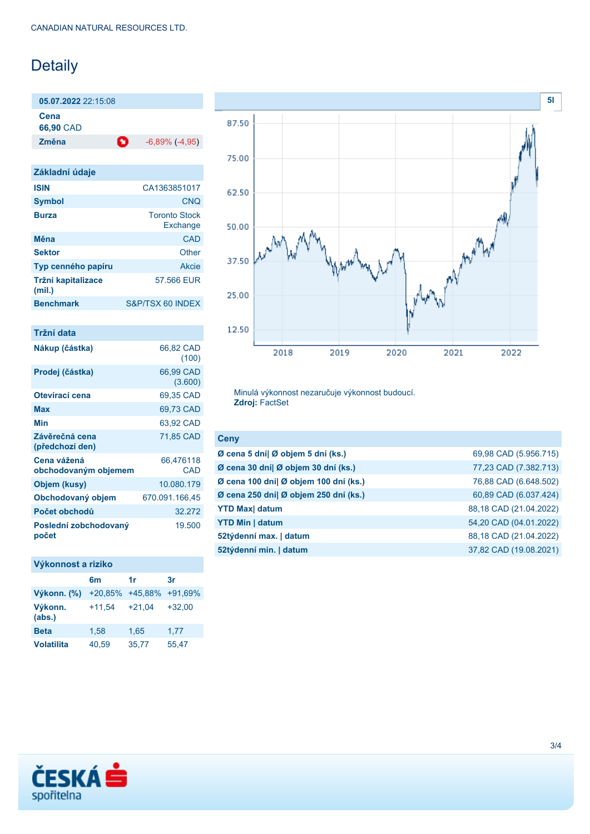# Detaily

**05.07.2022** 22:15:08 **Cena**

**66,90** CAD

**Změna** -6,89% (-4,95)

| Základní údaje               |                                  |
|------------------------------|----------------------------------|
| <b>ISIN</b>                  | CA1363851017                     |
| <b>Symbol</b>                | <b>CNO</b>                       |
| <b>Burza</b>                 | <b>Toronto Stock</b><br>Exchange |
| Měna                         | CAD                              |
| <b>Sektor</b>                | Other                            |
| Typ cenného papíru           | Akcie                            |
| Tržní kapitalizace<br>(mil.) | 57.566 EUR                       |
| <b>Benchmark</b>             | S&P/TSX 60 INDEX                 |
|                              |                                  |

| Tržní data                          |                      |
|-------------------------------------|----------------------|
| Nákup (částka)                      | 66,82 CAD<br>(100)   |
| Prodej (částka)                     | 66,99 CAD<br>(3.600) |
| Otevírací cena                      | 69,35 CAD            |
| Max                                 | 69,73 CAD            |
| Min                                 | 63,92 CAD            |
| Závěrečná cena<br>(předchozí den)   | 71,85 CAD            |
| Cena vážená<br>obchodovaným objemem | 66.476118<br>CAD     |
| Objem (kusy)                        | 10.080.179           |
| Obchodovaný objem                   | 670.091.166,45       |
| Počet obchodů                       | 32 272               |
| Poslední zobchodovaný<br>počet      | 19.500               |

### **Výkonnost a riziko**

|                   | 6 <sub>m</sub> | 1r       | 3r        |
|-------------------|----------------|----------|-----------|
| Výkonn. (%)       | $+20,85%$      | +45,88%  | $+91.69%$ |
| Výkonn.<br>(abs.) | $+11,54$       | $+21.04$ | $+32,00$  |
| <b>Beta</b>       | 1,58           | 1,65     | 1.77      |
| <b>Volatilita</b> | 40,59          | 35,77    | 55,47     |



Minulá výkonnost nezaručuje výkonnost budoucí. **Zdroj:** FactSet

| <b>Ceny</b>                           |                        |
|---------------------------------------|------------------------|
| Ø cena 5 dní  Ø objem 5 dní (ks.)     | 69,98 CAD (5.956.715)  |
| Ø cena 30 dní  Ø objem 30 dní (ks.)   | 77,23 CAD (7.382.713)  |
| Ø cena 100 dní  Ø objem 100 dní (ks.) | 76,88 CAD (6.648.502)  |
| Ø cena 250 dní  Ø objem 250 dní (ks.) | 60,89 CAD (6.037.424)  |
| <b>YTD Max</b> datum                  | 88,18 CAD (21.04.2022) |
| <b>YTD Min   datum</b>                | 54,20 CAD (04.01.2022) |
| 52týdenní max.   datum                | 88,18 CAD (21.04.2022) |
| 52týdenní min.   datum                | 37,82 CAD (19.08.2021) |
|                                       |                        |